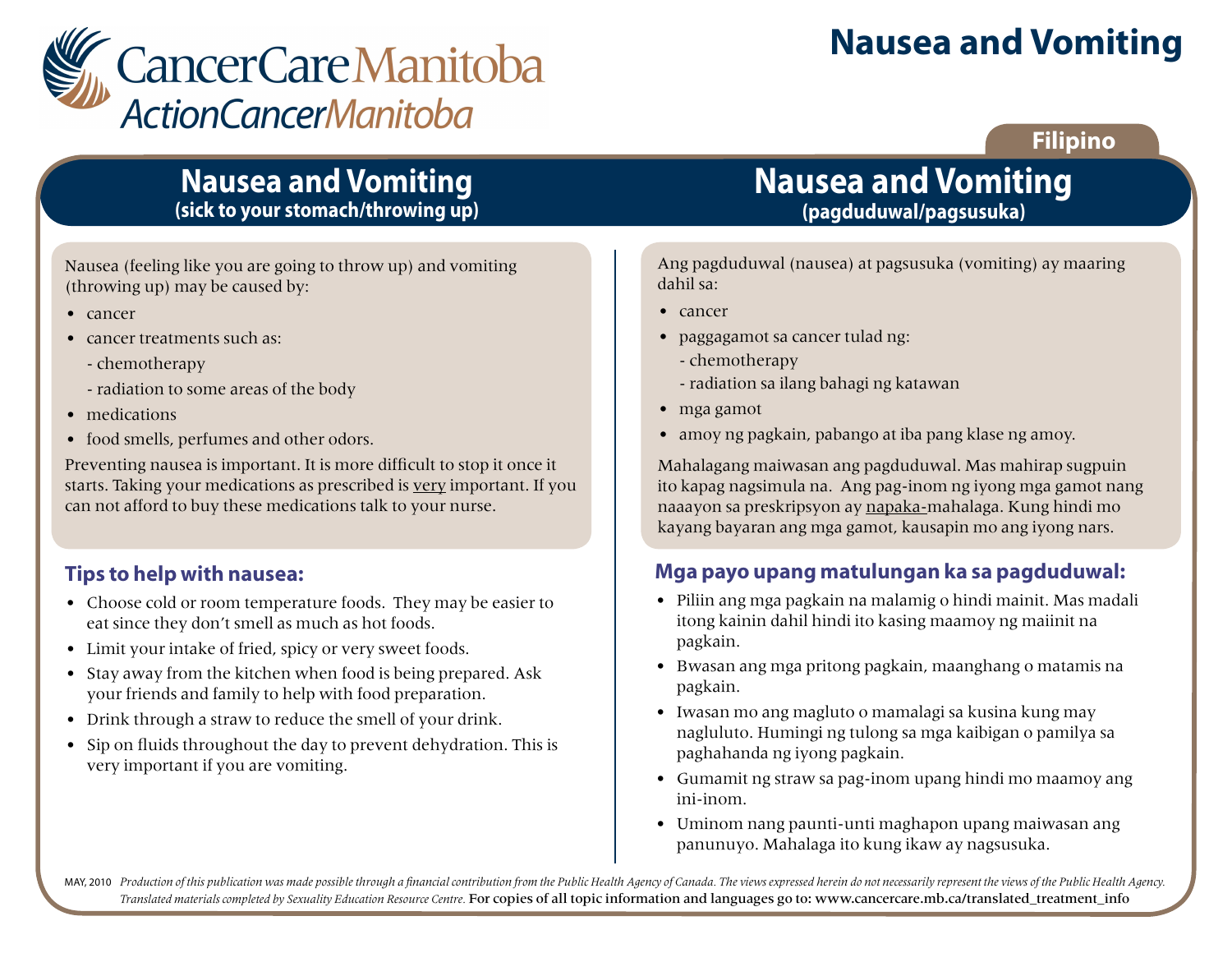

# **Nausea and Vomiting**

### **Filipino**

# **Nausea and Vomiting (sick to your stomach/throwing up)**

Nausea (feeling like you are going to throw up) and vomiting (throwing up) may be caused by:

- cancer
- cancer treatments such as:
	- chemotherapy
	- radiation to some areas of the body
- medications
- food smells, perfumes and other odors.

Preventing nausea is important. It is more difficult to stop it once it starts. Taking your medications as prescribed is very important. If you can not afford to buy these medications talk to your nurse.

### **Tips to help with nausea:**

- Choose cold or room temperature foods. They may be easier to eat since they don't smell as much as hot foods.
- Limit your intake of fried, spicy or very sweet foods.
- Stay away from the kitchen when food is being prepared. Ask your friends and family to help with food preparation.
- Drink through a straw to reduce the smell of your drink.
- Sip on fluids throughout the day to prevent dehydration. This is very important if you are vomiting.

# **Nausea and Vomiting (pagduduwal/pagsusuka)**

Ang pagduduwal (nausea) at pagsusuka (vomiting) ay maaring dahil sa:

- cancer
- paggagamot sa cancer tulad ng:
	- chemotherapy
	- radiation sa ilang bahagi ng katawan
- mga gamot
- amoy ng pagkain, pabango at iba pang klase ng amoy.

Mahalagang maiwasan ang pagduduwal. Mas mahirap sugpuin ito kapag nagsimula na. Ang pag-inom ng iyong mga gamot nang naaayon sa preskripsyon ay napaka-mahalaga. Kung hindi mo kayang bayaran ang mga gamot, kausapin mo ang iyong nars.

### **Mga payo upang matulungan ka sa pagduduwal:**

- Piliin ang mga pagkain na malamig o hindi mainit. Mas madali itong kainin dahil hindi ito kasing maamoy ng maiinit na pagkain.
- Bwasan ang mga pritong pagkain, maanghang o matamis na pagkain.
- Iwasan mo ang magluto o mamalagi sa kusina kung may nagluluto. Humingi ng tulong sa mga kaibigan o pamilya sa paghahanda ng iyong pagkain.
- Gumamit ng straw sa pag-inom upang hindi mo maamoy ang ini-inom.
- Uminom nang paunti-unti maghapon upang maiwasan ang panunuyo. Mahalaga ito kung ikaw ay nagsusuka.

MAY, 2010 Production of this publication was made possible through a financial contribution from the Public Health Agency of Canada. The views expressed herein do not necessarily represent the views of the Public Health Ag *Translated materials completed by Sexuality Education Resource Centre.* For copies of all topic information and languages go to: www.cancercare.mb.ca/translated\_treatment\_info